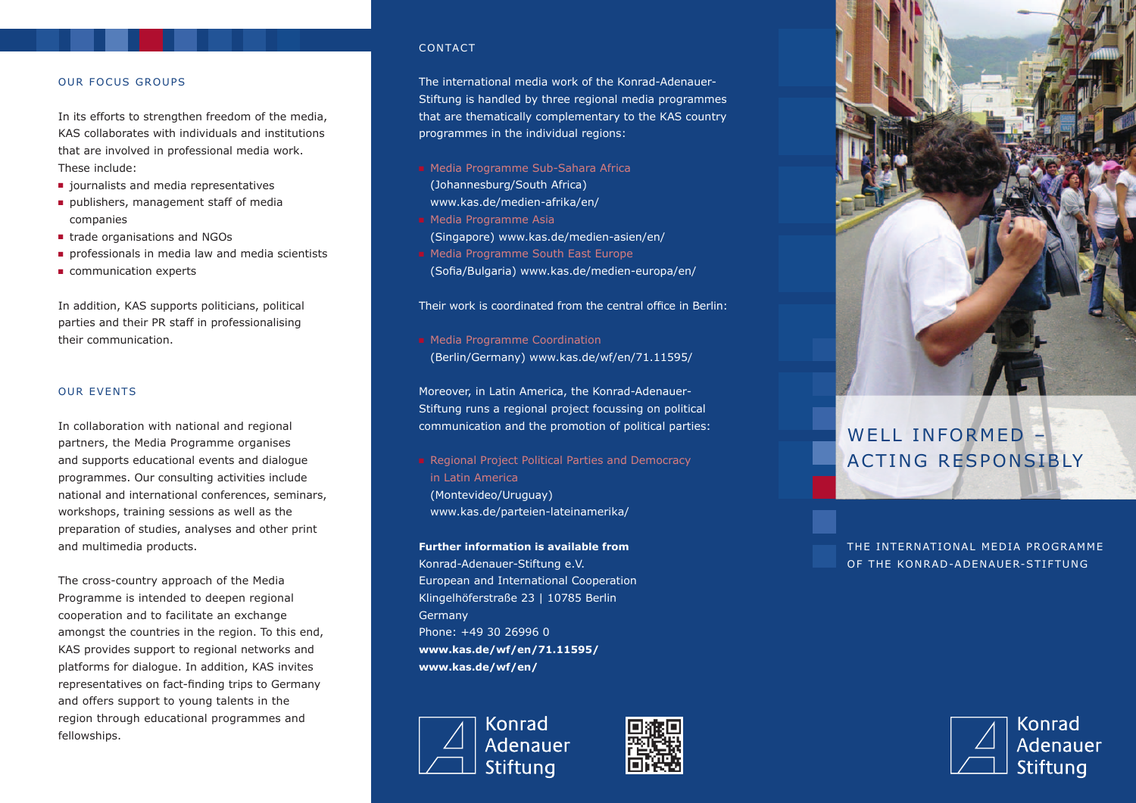## OUR FOCUS GROUPS

In its efforts to strengthen freedom of the media, KAS collaborates with individuals and institutions that are involved in professional media work. These include:

- journalists and media representatives
- publishers, management staff of media companies
- trade organisations and NGOs
- professionals in media law and media scientists
- communication experts

In addition, KAS supports politicians, political parties and their PR staff in professionalising their communication.

## OUR EVENTS

In collaboration with national and regional partners, the Media Programme organises and supports educational events and dialogue programmes. Our consulting activities include national and international conferences, seminars, workshops, training sessions as well as the preparation of studies, analyses and other print and multimedia products.

The cross-country approach of the Media Programme is intended to deepen regional cooperation and to facilitate an exchange amongst the countries in the region. To this end, KAS provides support to regional networks and platforms for dialogue. In addition, KAS invites representatives on fact-finding trips to Germany and offers support to young talents in the region through educational programmes and fellowships.

### CONTACT

The international media work of the Konrad-Adenauer-Stiftung is handled by three regional media programmes that are thematically complementary to the KAS country programmes in the individual regions:

- Media Programme Sub-Sahara Africa
	- (Johannesburg/South Africa)
- www.kas.de/medien-afrika/en/
- Media Programme Asia (Singapore) www.kas.de/medien-asien/en/
- Media Programme South East Europe
- (Sofia/Bulgaria) www.kas.de/medien-europa/en/

Their work is coordinated from the central office in Berlin:

■ Media Programme Coordination (Berlin/Germany) www.kas.de/wf/en/71.11595/

Moreover, in Latin America, the Konrad-Adenauer-Stiftung runs a regional project focussing on political communication and the promotion of political parties:

■ Regional Project Political Parties and Democracy in Latin America (Montevideo/Uruguay) www.kas.de/parteien-lateinamerika/

**Further information is available from** Konrad-Adenauer-Stiftung e.V. European and International Cooperation Klingelhöferstraße 23 | 10785 Berlin Germany Phone: +49 30 26996 0 **www.kas.de/wf/en/71.11595/ www.kas.de/wf/en/**







# WELL INFORMED – ACTING RESPONSIBLY

THE INTERNATIONAL MEDIA PROGRAMME OF THE KONRAD-ADENAUER-STIFTUNG